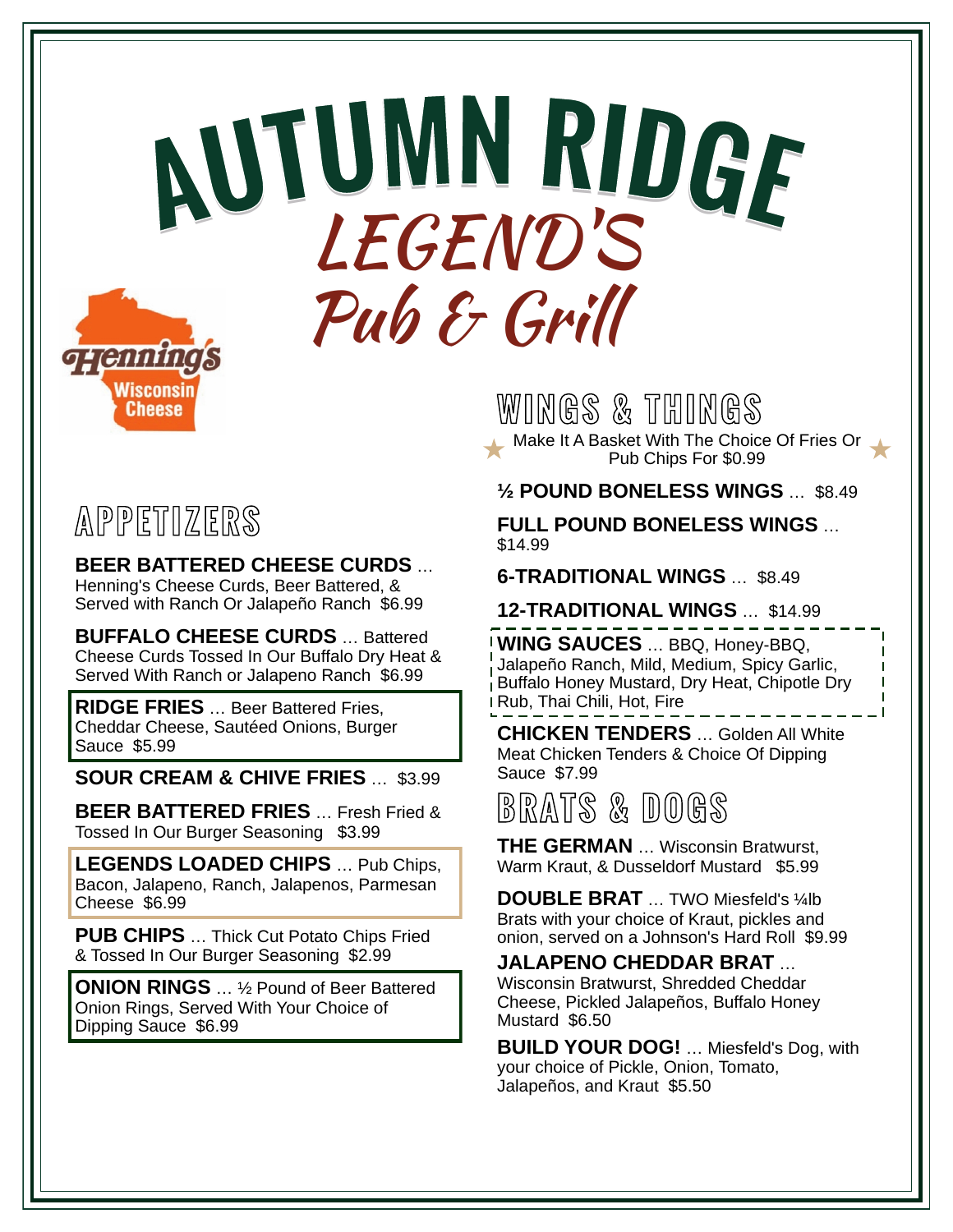# **AUTUM<sup>N</sup> <sup>R</sup>IDG<sup>E</sup> <sup>N</sup> <sup>R</sup>IDG<sup>E</sup>** LEGEND'SPub & Grill **g-rennings**

### **APPETIZERS**

Wisconsin **Cheese** 

**BEER BATTERED CHEESE CURDS** … Henning's Cheese Curds, Beer Battered, & Served with Ranch Or Jalapeño Ranch \$6.99

**BUFFALO CHEESE CURDS** … Battered Cheese Curds Tossed In Our Buffalo Dry Heat & Served With Ranch or Jalapeno Ranch \$6.99

**RIDGE FRIES** … Beer Battered Fries, Cheddar Cheese, Sautéed Onions, Burger Sauce \$5.99

**SOUR CREAM & CHIVE FRIES** … \$3.99

**BEER BATTERED FRIES** … Fresh Fried & Tossed In Our Burger Seasoning \$3.99

**LEGENDS LOADED CHIPS** … Pub Chips, Bacon, Jalapeno, Ranch, Jalapenos, Parmesan Cheese \$6.99

**PUB CHIPS** … Thick Cut Potato Chips Fried & Tossed In Our Burger Seasoning \$2.99

**ONION RINGS** … ½ Pound of Beer Battered Onion Rings, Served With Your Choice of Dipping Sauce \$6.99

**WINGS & THINGS Make It A Basket With The Choice Of Fries Or** 

Pub Chips For \$0.99

**½ POUND BONELESS WINGS** … \$8.49

**FULL POUND BONELESS WINGS** … \$14.99

**6-TRADITIONAL WINGS** … \$8.49

**12-TRADITIONAL WINGS** … \$14.99

**WING SAUCES** … BBQ, Honey-BBQ, Jalapeño Ranch, Mild, Medium, Spicy Garlic, Buffalo Honey Mustard, Dry Heat, Chipotle Dry Rub, Thai Chili, Hot, Fire

**CHICKEN TENDERS** … Golden All White Meat Chicken Tenders & Choice Of Dipping Sauce \$7.99

**BRATS & DOGS**

**THE GERMAN** … Wisconsin Bratwurst, Warm Kraut, & Dusseldorf Mustard \$5.99

**DOUBLE BRAT** ... TWO Miesfeld's 1/4lb Brats with your choice of Kraut, pickles and onion, served on a Johnson's Hard Roll \$9.99

#### **JALAPENO CHEDDAR BRAT** …

Wisconsin Bratwurst, Shredded Cheddar Cheese, Pickled Jalapeños, Buffalo Honey Mustard \$6.50

**BUILD YOUR DOG!** … Miesfeld's Dog, with your choice of Pickle, Onion, Tomato, Jalapeños, and Kraut \$5.50